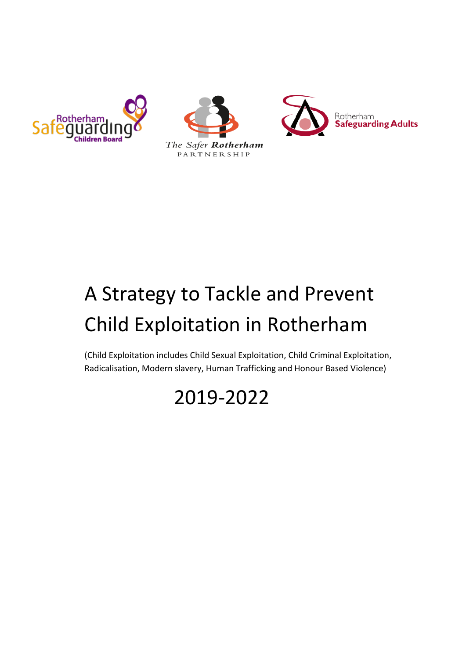





# A Strategy to Tackle and Prevent Child Exploitation in Rotherham

(Child Exploitation includes Child Sexual Exploitation, Child Criminal Exploitation, Radicalisation, Modern slavery, Human Trafficking and Honour Based Violence)

# 2019-2022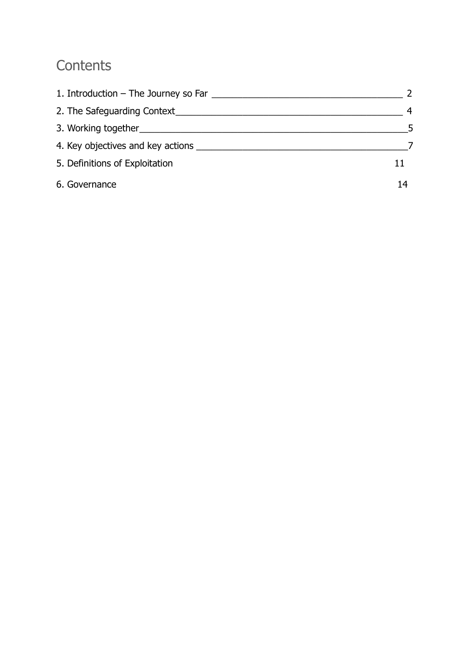# **Contents**

| 1. Introduction – The Journey so Far |    |
|--------------------------------------|----|
| 2. The Safeguarding Context          | 4  |
|                                      | -5 |
|                                      |    |
| 5. Definitions of Exploitation       |    |
| 6. Governance                        | 14 |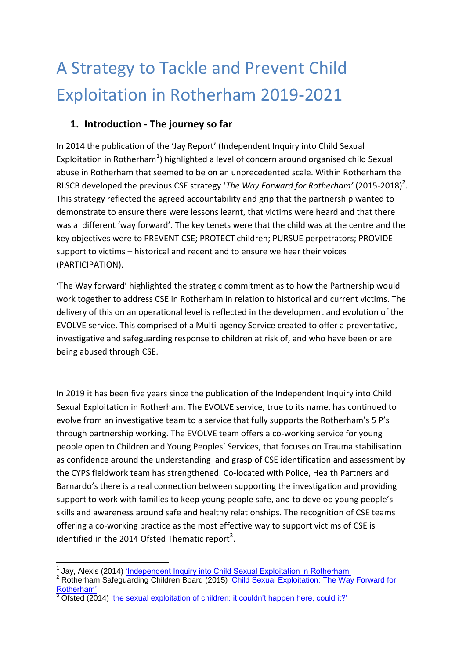# A Strategy to Tackle and Prevent Child Exploitation in Rotherham 2019-2021

#### **1. Introduction - The journey so far**

In 2014 the publication of the 'Jay Report' (Independent Inquiry into Child Sexual Exploitation in Rotherham<sup>1</sup>) highlighted a level of concern around organised child Sexual abuse in Rotherham that seemed to be on an unprecedented scale. Within Rotherham the RLSCB developed the previous CSE strategy 'The Way Forward for Rotherham' (2015-2018)<sup>2</sup>. This strategy reflected the agreed accountability and grip that the partnership wanted to demonstrate to ensure there were lessons learnt, that victims were heard and that there was a different 'way forward'. The key tenets were that the child was at the centre and the key objectives were to PREVENT CSE; PROTECT children; PURSUE perpetrators; PROVIDE support to victims – historical and recent and to ensure we hear their voices (PARTICIPATION).

'The Way forward' highlighted the strategic commitment as to how the Partnership would work together to address CSE in Rotherham in relation to historical and current victims. The delivery of this on an operational level is reflected in the development and evolution of the EVOLVE service. This comprised of a Multi-agency Service created to offer a preventative, investigative and safeguarding response to children at risk of, and who have been or are being abused through CSE.

In 2019 it has been five years since the publication of the Independent Inquiry into Child Sexual Exploitation in Rotherham. The EVOLVE service, true to its name, has continued to evolve from an investigative team to a service that fully supports the Rotherham's 5 P's through partnership working. The EVOLVE team offers a co-working service for young people open to Children and Young Peoples' Services, that focuses on Trauma stabilisation as confidence around the understanding and grasp of CSE identification and assessment by the CYPS fieldwork team has strengthened. Co-located with Police, Health Partners and Barnardo's there is a real connection between supporting the investigation and providing support to work with families to keep young people safe, and to develop young people's skills and awareness around safe and healthy relationships. The recognition of CSE teams offering a co-working practice as the most effective way to support victims of CSE is identified in the 2014 Ofsted Thematic report<sup>3</sup>.

**<sup>.</sup>** <sup>1</sup> Jay, Alexis (2014) *'Independent Inquiry into Child Sexual Exploitation in Rotherham'* 

<sup>&</sup>lt;sup>2</sup> Rotherham Safeguarding Children Board (2015) 'Child Sexual Exploitation: The Way Forward for [Rotherham'](https://moderngov.rotherham.gov.uk/documents/s101199/The%20Way%20Forward%20for%20Rotherham%202015-2018%20-%20Friday%20Version.pdf)

 $\overline{\text{O}}$  Ofsted (2014) 'the [sexual exploitation of children: it couldn't happen here, could it?'](https://assets.publishing.service.gov.uk/government/uploads/system/uploads/attachment_data/file/386598/The_20sexual_20exploitation_20of_20children_20it_20couldn_E2_80_99t_20happen_20here_2C_20could_20it.pdf)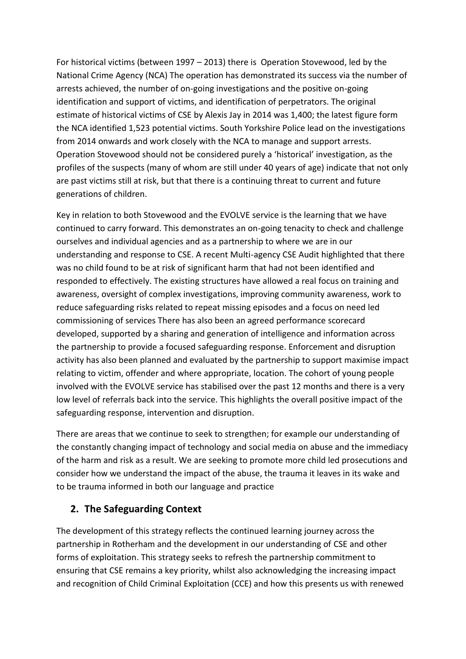For historical victims (between 1997 – 2013) there is Operation Stovewood, led by the National Crime Agency (NCA) The operation has demonstrated its success via the number of arrests achieved, the number of on-going investigations and the positive on-going identification and support of victims, and identification of perpetrators. The original estimate of historical victims of CSE by Alexis Jay in 2014 was 1,400; the latest figure form the NCA identified 1,523 potential victims. South Yorkshire Police lead on the investigations from 2014 onwards and work closely with the NCA to manage and support arrests. Operation Stovewood should not be considered purely a 'historical' investigation, as the profiles of the suspects (many of whom are still under 40 years of age) indicate that not only are past victims still at risk, but that there is a continuing threat to current and future generations of children.

Key in relation to both Stovewood and the EVOLVE service is the learning that we have continued to carry forward. This demonstrates an on-going tenacity to check and challenge ourselves and individual agencies and as a partnership to where we are in our understanding and response to CSE. A recent Multi-agency CSE Audit highlighted that there was no child found to be at risk of significant harm that had not been identified and responded to effectively. The existing structures have allowed a real focus on training and awareness, oversight of complex investigations, improving community awareness, work to reduce safeguarding risks related to repeat missing episodes and a focus on need led commissioning of services There has also been an agreed performance scorecard developed, supported by a sharing and generation of intelligence and information across the partnership to provide a focused safeguarding response. Enforcement and disruption activity has also been planned and evaluated by the partnership to support maximise impact relating to victim, offender and where appropriate, location. The cohort of young people involved with the EVOLVE service has stabilised over the past 12 months and there is a very low level of referrals back into the service. This highlights the overall positive impact of the safeguarding response, intervention and disruption.

There are areas that we continue to seek to strengthen; for example our understanding of the constantly changing impact of technology and social media on abuse and the immediacy of the harm and risk as a result. We are seeking to promote more child led prosecutions and consider how we understand the impact of the abuse, the trauma it leaves in its wake and to be trauma informed in both our language and practice

#### **2. The Safeguarding Context**

The development of this strategy reflects the continued learning journey across the partnership in Rotherham and the development in our understanding of CSE and other forms of exploitation. This strategy seeks to refresh the partnership commitment to ensuring that CSE remains a key priority, whilst also acknowledging the increasing impact and recognition of Child Criminal Exploitation (CCE) and how this presents us with renewed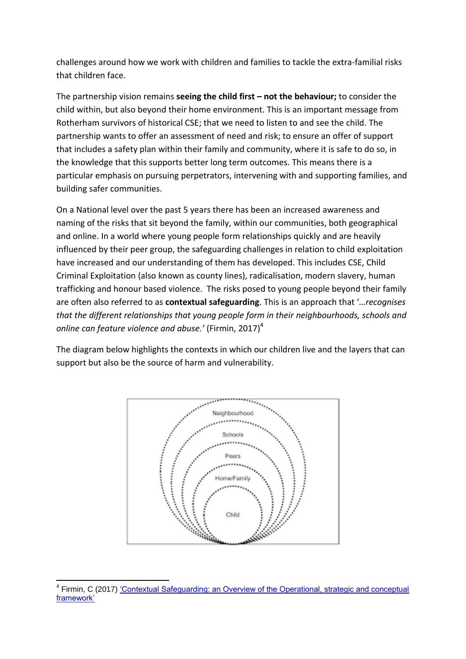challenges around how we work with children and families to tackle the extra-familial risks that children face.

The partnership vision remains **seeing the child first – not the behaviour;** to consider the child within, but also beyond their home environment. This is an important message from Rotherham survivors of historical CSE; that we need to listen to and see the child. The partnership wants to offer an assessment of need and risk; to ensure an offer of support that includes a safety plan within their family and community, where it is safe to do so, in the knowledge that this supports better long term outcomes. This means there is a particular emphasis on pursuing perpetrators, intervening with and supporting families, and building safer communities.

On a National level over the past 5 years there has been an increased awareness and naming of the risks that sit beyond the family, within our communities, both geographical and online. In a world where young people form relationships quickly and are heavily influenced by their peer group, the safeguarding challenges in relation to child exploitation have increased and our understanding of them has developed. This includes CSE, Child Criminal Exploitation (also known as county lines), radicalisation, modern slavery, human trafficking and honour based violence. The risks posed to young people beyond their family are often also referred to as **contextual safeguarding**. This is an approach that '*…recognises that the different relationships that young people form in their neighbourhoods, schools and online can feature violence and abuse.'* (Firmin, 2017) 4

The diagram below highlights the contexts in which our children live and the layers that can support but also be the source of harm and vulnerability.



**<sup>.</sup>** <sup>4</sup> Firmin, C (2017) 'Contextual Safeguarding: an Overview of the Operational, strategic and conceptual [framework'](https://www.contextualsafeguarding.org.uk/assets/documents/Contextual-Safeguarding-Briefing.pdf)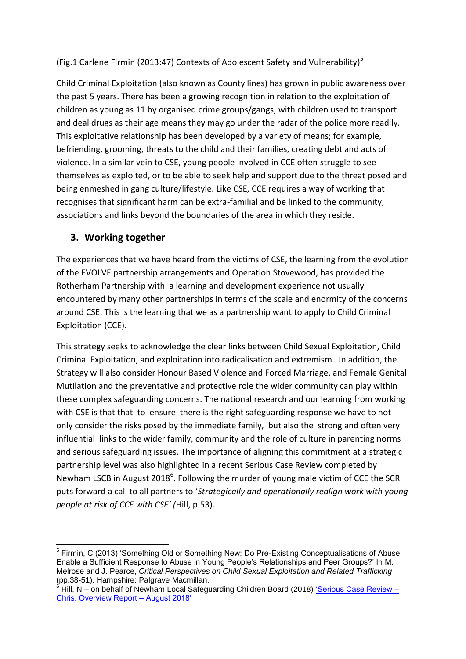(Fig.1 Carlene Firmin (2013:47) Contexts of Adolescent Safety and Vulnerability)<sup>5</sup>

Child Criminal Exploitation (also known as County lines) has grown in public awareness over the past 5 years. There has been a growing recognition in relation to the exploitation of children as young as 11 by organised crime groups/gangs, with children used to transport and deal drugs as their age means they may go under the radar of the police more readily. This exploitative relationship has been developed by a variety of means; for example, befriending, grooming, threats to the child and their families, creating debt and acts of violence. In a similar vein to CSE, young people involved in CCE often struggle to see themselves as exploited, or to be able to seek help and support due to the threat posed and being enmeshed in gang culture/lifestyle. Like CSE, CCE requires a way of working that recognises that significant harm can be extra-familial and be linked to the community, associations and links beyond the boundaries of the area in which they reside.

#### **3. Working together**

The experiences that we have heard from the victims of CSE, the learning from the evolution of the EVOLVE partnership arrangements and Operation Stovewood, has provided the Rotherham Partnership with a learning and development experience not usually encountered by many other partnerships in terms of the scale and enormity of the concerns around CSE. This is the learning that we as a partnership want to apply to Child Criminal Exploitation (CCE).

This strategy seeks to acknowledge the clear links between Child Sexual Exploitation, Child Criminal Exploitation, and exploitation into radicalisation and extremism. In addition, the Strategy will also consider Honour Based Violence and Forced Marriage, and Female Genital Mutilation and the preventative and protective role the wider community can play within these complex safeguarding concerns. The national research and our learning from working with CSE is that that to ensure there is the right safeguarding response we have to not only consider the risks posed by the immediate family, but also the strong and often very influential links to the wider family, community and the role of culture in parenting norms and serious safeguarding issues. The importance of aligning this commitment at a strategic partnership level was also highlighted in a recent Serious Case Review completed by Newham LSCB in August 2018<sup>6</sup>. Following the murder of young male victim of CCE the SCR puts forward a call to all partners to '*Strategically and operationally realign work with young people at risk of CCE with CSE' (*Hill, p.53).

<sup>1</sup> <sup>5</sup> Firmin, C (2013) 'Something Old or Something New: Do Pre-Existing Conceptualisations of Abuse Enable a Sufficient Response to Abuse in Young People's Relationships and Peer Groups?' In M. Melrose and J. Pearce, *Critical Perspectives on Child Sexual Exploitation and Related Trafficking*  (pp.38-51). Hampshire: Palgrave Macmillan.

<sup>6</sup> Hill, N – on behalf of Newham Local Safeguarding Children Board (2018) ['Serious Case Review –](http://www.newhamlscb.org.uk/wp-content/uploads/2018/10/Serious-Case-Review-Chris-.pdf) [Chris. Overview Report –](http://www.newhamlscb.org.uk/wp-content/uploads/2018/10/Serious-Case-Review-Chris-.pdf) August 2018'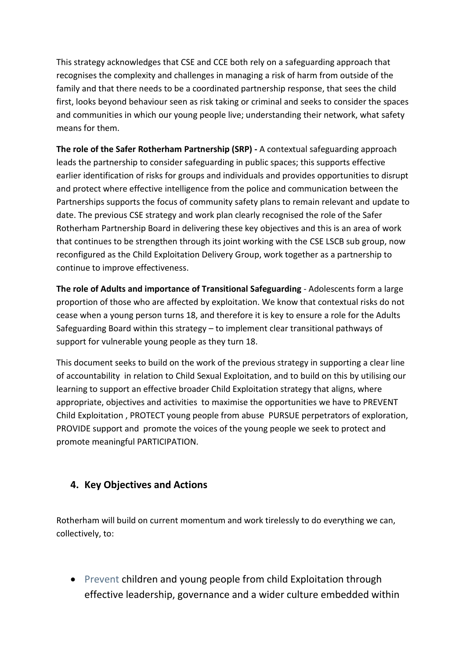This strategy acknowledges that CSE and CCE both rely on a safeguarding approach that recognises the complexity and challenges in managing a risk of harm from outside of the family and that there needs to be a coordinated partnership response, that sees the child first, looks beyond behaviour seen as risk taking or criminal and seeks to consider the spaces and communities in which our young people live; understanding their network, what safety means for them.

**The role of the Safer Rotherham Partnership (SRP) -** A contextual safeguarding approach leads the partnership to consider safeguarding in public spaces; this supports effective earlier identification of risks for groups and individuals and provides opportunities to disrupt and protect where effective intelligence from the police and communication between the Partnerships supports the focus of community safety plans to remain relevant and update to date. The previous CSE strategy and work plan clearly recognised the role of the Safer Rotherham Partnership Board in delivering these key objectives and this is an area of work that continues to be strengthen through its joint working with the CSE LSCB sub group, now reconfigured as the Child Exploitation Delivery Group, work together as a partnership to continue to improve effectiveness.

**The role of Adults and importance of Transitional Safeguarding** - Adolescents form a large proportion of those who are affected by exploitation. We know that contextual risks do not cease when a young person turns 18, and therefore it is key to ensure a role for the Adults Safeguarding Board within this strategy – to implement clear transitional pathways of support for vulnerable young people as they turn 18.

This document seeks to build on the work of the previous strategy in supporting a clear line of accountability in relation to Child Sexual Exploitation, and to build on this by utilising our learning to support an effective broader Child Exploitation strategy that aligns, where appropriate, objectives and activities to maximise the opportunities we have to PREVENT Child Exploitation , PROTECT young people from abuse PURSUE perpetrators of exploration, PROVIDE support and promote the voices of the young people we seek to protect and promote meaningful PARTICIPATION.

#### **4. Key Objectives and Actions**

Rotherham will build on current momentum and work tirelessly to do everything we can, collectively, to:

• Prevent children and young people from child Exploitation through effective leadership, governance and a wider culture embedded within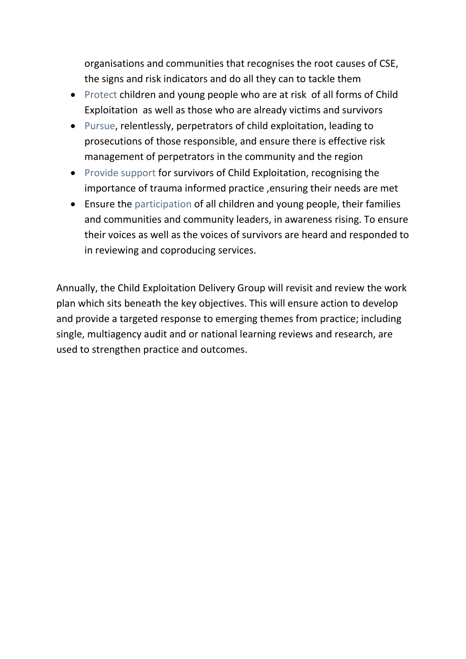organisations and communities that recognises the root causes of CSE, the signs and risk indicators and do all they can to tackle them

- Protect children and young people who are at risk of all forms of Child Exploitation as well as those who are already victims and survivors
- Pursue, relentlessly, perpetrators of child exploitation, leading to prosecutions of those responsible, and ensure there is effective risk management of perpetrators in the community and the region
- Provide support for survivors of Child Exploitation, recognising the importance of trauma informed practice ,ensuring their needs are met
- Ensure the participation of all children and young people, their families and communities and community leaders, in awareness rising. To ensure their voices as well as the voices of survivors are heard and responded to in reviewing and coproducing services.

Annually, the Child Exploitation Delivery Group will revisit and review the work plan which sits beneath the key objectives. This will ensure action to develop and provide a targeted response to emerging themes from practice; including single, multiagency audit and or national learning reviews and research, are used to strengthen practice and outcomes.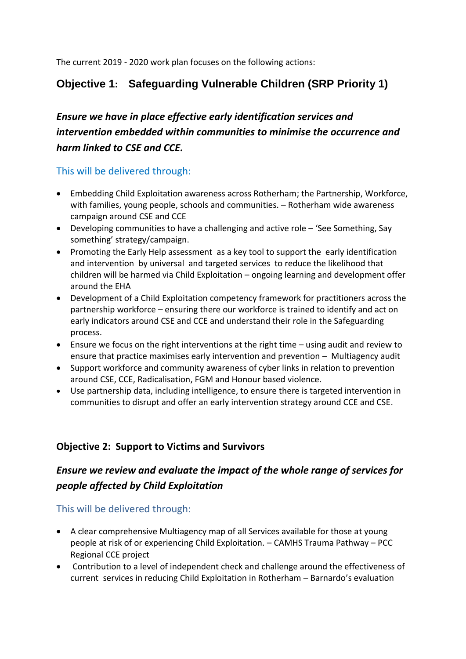The current 2019 - 2020 work plan focuses on the following actions:

### **Objective 1: Safeguarding Vulnerable Children (SRP Priority 1)**

# *Ensure we have in place effective early identification services and intervention embedded within communities to minimise the occurrence and harm linked to CSE and CCE.*

This will be delivered through:

- Embedding Child Exploitation awareness across Rotherham; the Partnership, Workforce, with families, young people, schools and communities. – Rotherham wide awareness campaign around CSE and CCE
- Developing communities to have a challenging and active role 'See Something, Say something' strategy/campaign.
- Promoting the Early Help assessment as a key tool to support the early identification and intervention by universal and targeted services to reduce the likelihood that children will be harmed via Child Exploitation – ongoing learning and development offer around the EHA
- Development of a Child Exploitation competency framework for practitioners across the partnership workforce – ensuring there our workforce is trained to identify and act on early indicators around CSE and CCE and understand their role in the Safeguarding process.
- Ensure we focus on the right interventions at the right time using audit and review to ensure that practice maximises early intervention and prevention – Multiagency audit
- Support workforce and community awareness of cyber links in relation to prevention around CSE, CCE, Radicalisation, FGM and Honour based violence.
- Use partnership data, including intelligence, to ensure there is targeted intervention in communities to disrupt and offer an early intervention strategy around CCE and CSE.

#### **Objective 2: Support to Victims and Survivors**

### *Ensure we review and evaluate the impact of the whole range of services for people affected by Child Exploitation*

This will be delivered through:

- A clear comprehensive Multiagency map of all Services available for those at young people at risk of or experiencing Child Exploitation. – CAMHS Trauma Pathway – PCC Regional CCE project
- Contribution to a level of independent check and challenge around the effectiveness of current services in reducing Child Exploitation in Rotherham – Barnardo's evaluation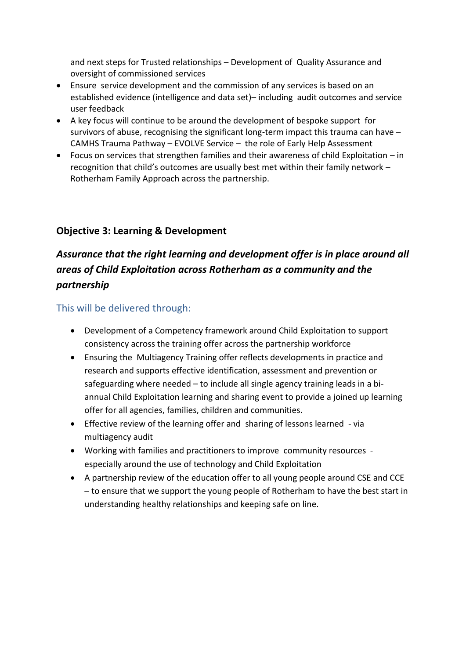and next steps for Trusted relationships – Development of Quality Assurance and oversight of commissioned services

- Ensure service development and the commission of any services is based on an established evidence (intelligence and data set)– including audit outcomes and service user feedback
- A key focus will continue to be around the development of bespoke support for survivors of abuse, recognising the significant long-term impact this trauma can have – CAMHS Trauma Pathway – EVOLVE Service – the role of Early Help Assessment
- Focus on services that strengthen families and their awareness of child Exploitation in recognition that child's outcomes are usually best met within their family network – Rotherham Family Approach across the partnership.

#### **Objective 3: Learning & Development**

# *Assurance that the right learning and development offer is in place around all areas of Child Exploitation across Rotherham as a community and the partnership*

This will be delivered through:

- Development of a Competency framework around Child Exploitation to support consistency across the training offer across the partnership workforce
- Ensuring the Multiagency Training offer reflects developments in practice and research and supports effective identification, assessment and prevention or safeguarding where needed – to include all single agency training leads in a biannual Child Exploitation learning and sharing event to provide a joined up learning offer for all agencies, families, children and communities.
- Effective review of the learning offer and sharing of lessons learned via multiagency audit
- Working with families and practitioners to improve community resources especially around the use of technology and Child Exploitation
- A partnership review of the education offer to all young people around CSE and CCE – to ensure that we support the young people of Rotherham to have the best start in understanding healthy relationships and keeping safe on line.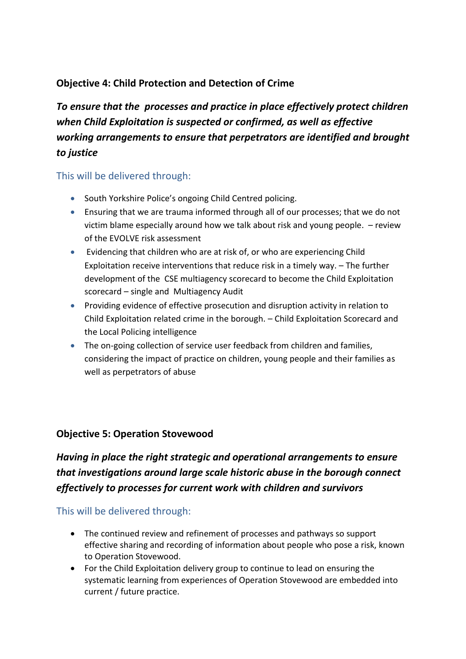#### **Objective 4: Child Protection and Detection of Crime**

*To ensure that the processes and practice in place effectively protect children when Child Exploitation is suspected or confirmed, as well as effective working arrangements to ensure that perpetrators are identified and brought to justice*

#### This will be delivered through:

- South Yorkshire Police's ongoing Child Centred policing.
- Ensuring that we are trauma informed through all of our processes; that we do not victim blame especially around how we talk about risk and young people. – review of the EVOLVE risk assessment
- Evidencing that children who are at risk of, or who are experiencing Child Exploitation receive interventions that reduce risk in a timely way. – The further development of the CSE multiagency scorecard to become the Child Exploitation scorecard – single and Multiagency Audit
- Providing evidence of effective prosecution and disruption activity in relation to Child Exploitation related crime in the borough. – Child Exploitation Scorecard and the Local Policing intelligence
- The on-going collection of service user feedback from children and families, considering the impact of practice on children, young people and their families as well as perpetrators of abuse

#### **Objective 5: Operation Stovewood**

# *Having in place the right strategic and operational arrangements to ensure that investigations around large scale historic abuse in the borough connect effectively to processes for current work with children and survivors*

This will be delivered through:

- The continued review and refinement of processes and pathways so support effective sharing and recording of information about people who pose a risk, known to Operation Stovewood.
- For the Child Exploitation delivery group to continue to lead on ensuring the systematic learning from experiences of Operation Stovewood are embedded into current / future practice.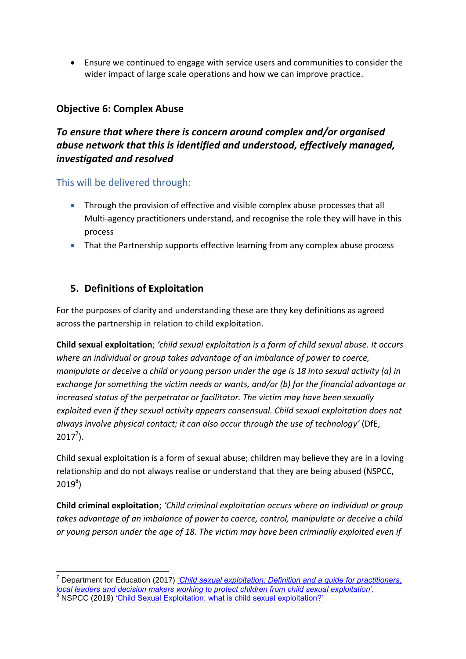Ensure we continued to engage with service users and communities to consider the wider impact of large scale operations and how we can improve practice.

#### **Objective 6: Complex Abuse**

#### *To ensure that where there is concern around complex and/or organised abuse network that this is identified and understood, effectively managed, investigated and resolved*

This will be delivered through:

- Through the provision of effective and visible complex abuse processes that all Multi-agency practitioners understand, and recognise the role they will have in this process
- That the Partnership supports effective learning from any complex abuse process

#### **5. Definitions of Exploitation**

For the purposes of clarity and understanding these are they key definitions as agreed across the partnership in relation to child exploitation.

**Child sexual exploitation**; *'child sexual exploitation is a form of child sexual abuse. It occurs where an individual or group takes advantage of an imbalance of power to coerce, manipulate or deceive a child or young person under the age is 18 into sexual activity (a) in exchange for something the victim needs or wants, and/or (b) for the financial advantage or increased status of the perpetrator or facilitator. The victim may have been sexually exploited even if they sexual activity appears consensual. Child sexual exploitation does not always involve physical contact; it can also occur through the use of technology'* (DfE,  $2017^7$ ).

Child sexual exploitation is a form of sexual abuse; children may believe they are in a loving relationship and do not always realise or understand that they are being abused (NSPCC,  $2019^{8}$ 

**Child criminal exploitation**; *'Child criminal exploitation occurs where an individual or group takes advantage of an imbalance of power to coerce, control, manipulate or deceive a child or young person under the age of 18. The victim may have been criminally exploited even if* 

<sup>1</sup> <sup>7</sup> Department for Education (2017) *['Child sexual exploitation: Definition and a guide for practitioners,](https://assets.publishing.service.gov.uk/government/uploads/system/uploads/attachment_data/file/591903/CSE_Guidance_Core_Document_13.02.2017.pdf)  [local leaders and decision makers working to protect children from child sexual exploitation'.](https://assets.publishing.service.gov.uk/government/uploads/system/uploads/attachment_data/file/591903/CSE_Guidance_Core_Document_13.02.2017.pdf)* <sup>8</sup> NSPCC (2019) ['Child Sexual Exploitation; what is child sexual exploitation?'](https://www.nspcc.org.uk/preventing-abuse/child-abuse-and-neglect/child-sexual-exploitation/)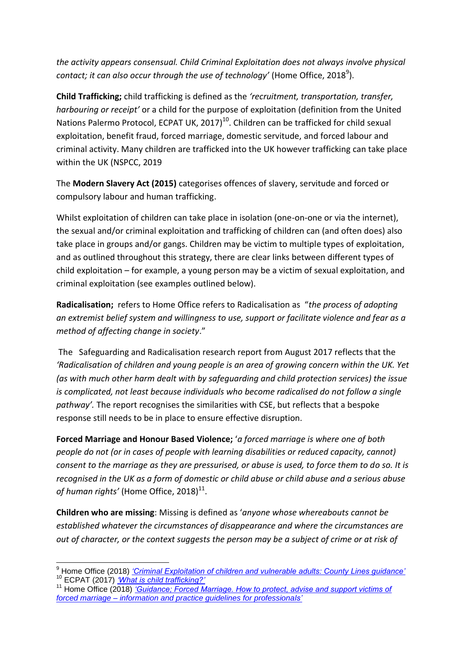*the activity appears consensual. Child Criminal Exploitation does not always involve physical*  contact; it can also occur through the use of technology' (Home Office, 2018<sup>9</sup>).

**Child Trafficking;** child trafficking is defined as the *'recruitment, transportation, transfer, harbouring or receipt'* or a child for the purpose of exploitation (definition from the United Nations Palermo Protocol, ECPAT UK, 2017)<sup>10</sup>. Children can be trafficked for child sexual exploitation, benefit fraud, forced marriage, domestic servitude, and forced labour and criminal activity. Many children are trafficked into the UK however trafficking can take place within the UK (NSPCC, 2019

The **Modern Slavery Act (2015)** categorises offences of slavery, servitude and forced or compulsory labour and human trafficking.

Whilst exploitation of children can take place in isolation (one-on-one or via the internet), the sexual and/or criminal exploitation and trafficking of children can (and often does) also take place in groups and/or gangs. Children may be victim to multiple types of exploitation, and as outlined throughout this strategy, there are clear links between different types of child exploitation – for example, a young person may be a victim of sexual exploitation, and criminal exploitation (see examples outlined below).

**Radicalisation;** refers to Home Office refers to Radicalisation as "*the process of adopting an extremist belief system and willingness to use, support or facilitate violence and fear as a method of affecting change in society*."

The Safeguarding and Radicalisation research report from August 2017 reflects that the *'Radicalisation of children and young people is an area of growing concern within the UK. Yet (as with much other harm dealt with by safeguarding and child protection services) the issue is complicated, not least because individuals who become radicalised do not follow a single pathway'.* The report recognises the similarities with CSE, but reflects that a bespoke response still needs to be in place to ensure effective disruption.

**Forced Marriage and Honour Based Violence;** '*a forced marriage is where one of both people do not (or in cases of people with learning disabilities or reduced capacity, cannot) consent to the marriage as they are pressurised, or abuse is used, to force them to do so. It is recognised in the UK as a form of domestic or child abuse or child abuse and a serious abuse*   $of$  human rights' (Home Office, 2018) $^{11}$ .

**Children who are missing**: Missing is defined as '*anyone whose whereabouts cannot be established whatever the circumstances of disappearance and where the circumstances are out of character, or the context suggests the person may be a subject of crime or at risk of* 

 $\overline{\phantom{a}}$ <sup>9</sup> Home Office (2018) *['Criminal Exploitation of children and vulnerable adults: County Lines guidance'](https://assets.publishing.service.gov.uk/government/uploads/system/uploads/attachment_data/file/741194/HOCountyLinesGuidanceSept2018.pdf)* <sup>10</sup> ECPAT (2017) *['What is child trafficking?'](https://www.ecpat.org.uk/faqs/what-is-child-trafficking)*

<sup>&</sup>lt;sup>11</sup> Home Office (2018) *'Guidance; Forced Marriage. How to protect, advise and support victims of forced marriage – [information and practice guidelines for professionals'](https://www.gov.uk/guidance/forced-marriage)*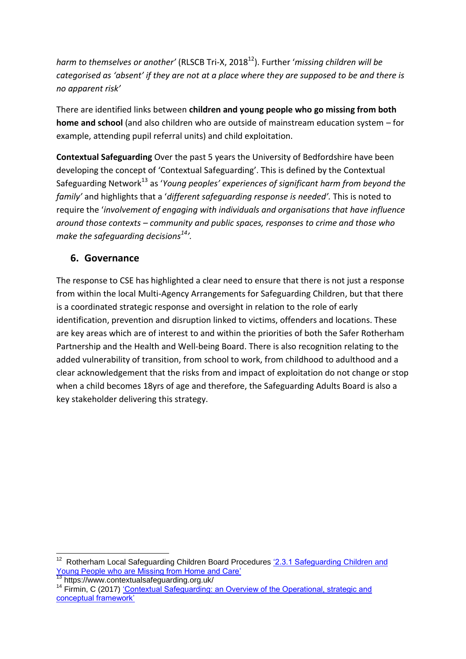*harm to themselves or another'* (RLSCB Tri-X, 2018<sup>12</sup>). Further '*missing children will be categorised as 'absent' if they are not at a place where they are supposed to be and there is no apparent risk'*

There are identified links between **children and young people who go missing from both home and school** (and also children who are outside of mainstream education system – for example, attending pupil referral units) and child exploitation.

**Contextual Safeguarding** Over the past 5 years the University of Bedfordshire have been developing the concept of 'Contextual Safeguarding'. This is defined by the Contextual Safeguarding Network<sup>13</sup> as '*Young peoples' experiences of significant harm from beyond the family'* and highlights that a '*different safeguarding response is needed'.* This is noted to require the '*involvement of engaging with individuals and organisations that have influence around those contexts – community and public spaces, responses to crime and those who make the safeguarding decisions<sup>14</sup>'.*

#### **6. Governance**

The response to CSE has highlighted a clear need to ensure that there is not just a response from within the local Multi-Agency Arrangements for Safeguarding Children, but that there is a coordinated strategic response and oversight in relation to the role of early identification, prevention and disruption linked to victims, offenders and locations. These are key areas which are of interest to and within the priorities of both the Safer Rotherham Partnership and the Health and Well-being Board. There is also recognition relating to the added vulnerability of transition, from school to work, from childhood to adulthood and a clear acknowledgement that the risks from and impact of exploitation do not change or stop when a child becomes 18yrs of age and therefore, the Safeguarding Adults Board is also a key stakeholder delivering this strategy.

**<sup>.</sup>** 12 Rotherham Local Safeguarding Children Board Procedures ['2.3.1 Safeguarding Children and](http://rotherhamscb.proceduresonline.com/chapters/p_sg_ch_missing.html)  Young People who are [Missing from Home and Care'](http://rotherhamscb.proceduresonline.com/chapters/p_sg_ch_missing.html)

<sup>13</sup> https://www.contextualsafeguarding.org.uk/

<sup>&</sup>lt;sup>14</sup> Firmin, C (2017) 'Contextual Safeguarding: an Overview of the Operational, strategic and [conceptual framework'](https://www.contextualsafeguarding.org.uk/assets/documents/Contextual-Safeguarding-Briefing.pdf)